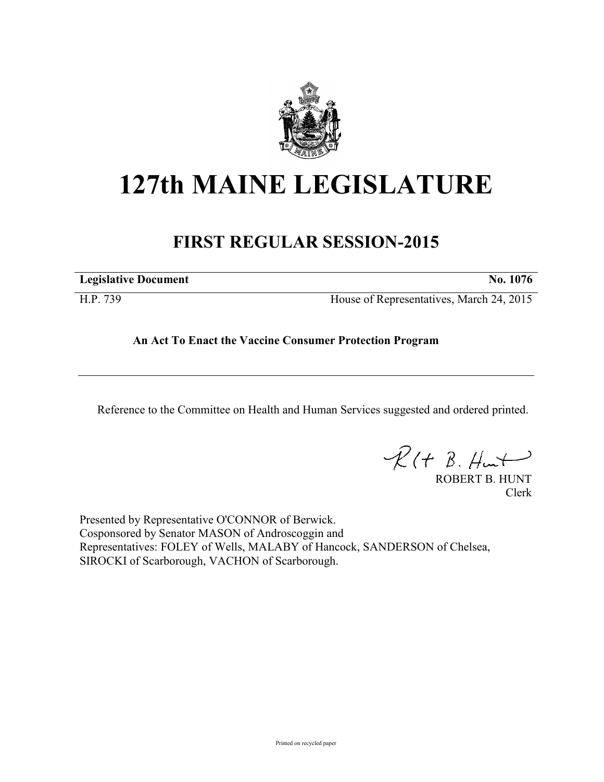

## **127th MAINE LEGISLATURE**

## **FIRST REGULAR SESSION-2015**

| <b>Legislative Document</b> | No. | 1076 |
|-----------------------------|-----|------|
|                             |     |      |

H.P. 739 House of Representatives, March 24, 2015

## **An Act To Enact the Vaccine Consumer Protection Program**

Reference to the Committee on Health and Human Services suggested and ordered printed.

 $\mathcal{R}(t \; \mathcal{B}, \#m)$ 

ROBERT B. HUNT Clerk

Presented by Representative O'CONNOR of Berwick. Cosponsored by Senator MASON of Androscoggin and Representatives: FOLEY of Wells, MALABY of Hancock, SANDERSON of Chelsea, SIROCKI of Scarborough, VACHON of Scarborough.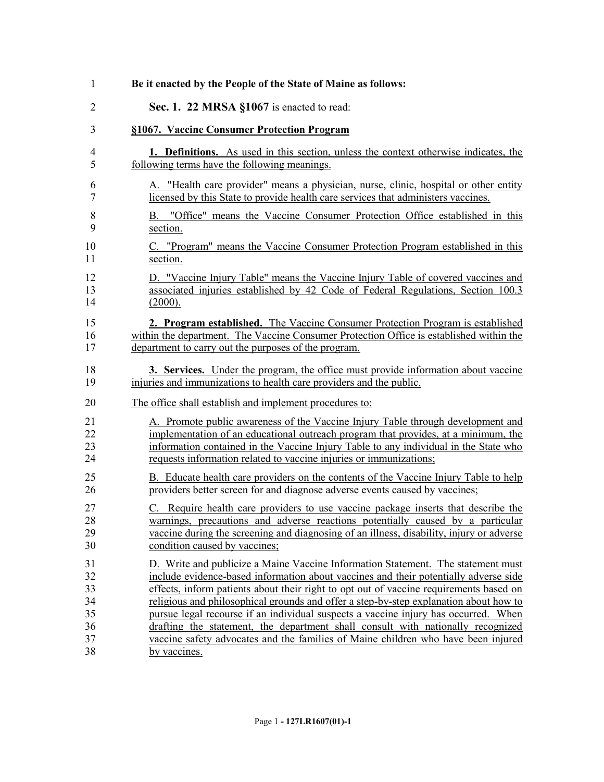| 1              | Be it enacted by the People of the State of Maine as follows:                               |
|----------------|---------------------------------------------------------------------------------------------|
| $\overline{2}$ | Sec. 1. 22 MRSA §1067 is enacted to read:                                                   |
| 3              | §1067. Vaccine Consumer Protection Program                                                  |
| 4              | <b>1. Definitions.</b> As used in this section, unless the context otherwise indicates, the |
| 5              | following terms have the following meanings.                                                |
| 6              | A. "Health care provider" means a physician, nurse, clinic, hospital or other entity        |
| 7              | licensed by this State to provide health care services that administers vaccines.           |
| 8              | B. "Office" means the Vaccine Consumer Protection Office established in this                |
| 9              | section.                                                                                    |
| 10             | C. "Program" means the Vaccine Consumer Protection Program established in this              |
| 11             | section.                                                                                    |
| 12             | D. "Vaccine Injury Table" means the Vaccine Injury Table of covered vaccines and            |
| 13             | associated injuries established by 42 Code of Federal Regulations, Section 100.3            |
| 14             | (2000).                                                                                     |
| 15             | 2. Program established. The Vaccine Consumer Protection Program is established              |
| 16             | within the department. The Vaccine Consumer Protection Office is established within the     |
| 17             | department to carry out the purposes of the program.                                        |
| 18             | 3. Services. Under the program, the office must provide information about vaccine           |
| 19             | injuries and immunizations to health care providers and the public.                         |
| 20             | The office shall establish and implement procedures to:                                     |
| 21             | A. Promote public awareness of the Vaccine Injury Table through development and             |
| 22             | implementation of an educational outreach program that provides, at a minimum, the          |
| 23             | information contained in the Vaccine Injury Table to any individual in the State who        |
| 24             | requests information related to vaccine injuries or immunizations;                          |
| 25             | B. Educate health care providers on the contents of the Vaccine Injury Table to help        |
| 26             | providers better screen for and diagnose adverse events caused by vaccines;                 |
| 27             | C. Require health care providers to use vaccine package inserts that describe the           |
| 28             | warnings, precautions and adverse reactions potentially caused by a particular              |
| 29             | vaccine during the screening and diagnosing of an illness, disability, injury or adverse    |
| 30             | condition caused by vaccines;                                                               |
| 31             | D. Write and publicize a Maine Vaccine Information Statement. The statement must            |
| 32             | include evidence-based information about vaccines and their potentially adverse side        |
| 33             | effects, inform patients about their right to opt out of vaccine requirements based on      |
| 34             | religious and philosophical grounds and offer a step-by-step explanation about how to       |
| 35             | pursue legal recourse if an individual suspects a vaccine injury has occurred. When         |
| 36             | drafting the statement, the department shall consult with nationally recognized             |
| 37             | vaccine safety advocates and the families of Maine children who have been injured           |
| 38             | by vaccines.                                                                                |